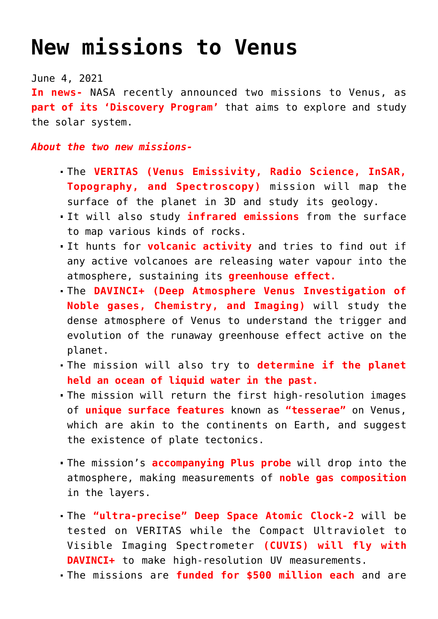## **[New missions to Venus](https://journalsofindia.com/new-missions-to-venus/)**

June 4, 2021

**In news-** NASA recently announced two missions to Venus, as **part of its 'Discovery Program'** that aims to explore and study the solar system.

*About the two new missions-*

- The **VERITAS (Venus Emissivity, Radio Science, InSAR, Topography, and Spectroscopy)** mission will map the surface of the planet in 3D and study its geology.
- It will also study **infrared emissions** from the surface to map various kinds of rocks.
- It hunts for **volcanic activity** and tries to find out if any active volcanoes are releasing water vapour into the atmosphere, sustaining its **greenhouse effect.**
- The **DAVINCI+ (Deep Atmosphere Venus Investigation of Noble gases, Chemistry, and Imaging)** will study the dense atmosphere of Venus to understand the trigger and evolution of the runaway greenhouse effect active on the planet.
- The mission will also try to **determine if the planet held an ocean of liquid water in the past.**
- The mission will return the first high-resolution images of **unique surface features** known as **"tesserae"** on Venus, which are akin to the continents on Earth, and suggest the existence of plate tectonics.
- The mission's **accompanying Plus probe** will drop into the atmosphere, making measurements of **noble gas composition** in the layers.
- The **"ultra-precise" Deep Space Atomic Clock-2** will be tested on VERITAS while the Compact Ultraviolet to Visible Imaging Spectrometer **(CUVIS) will fly with DAVINCI+** to make high-resolution UV measurements.
- The missions are **funded for \$500 million each** and are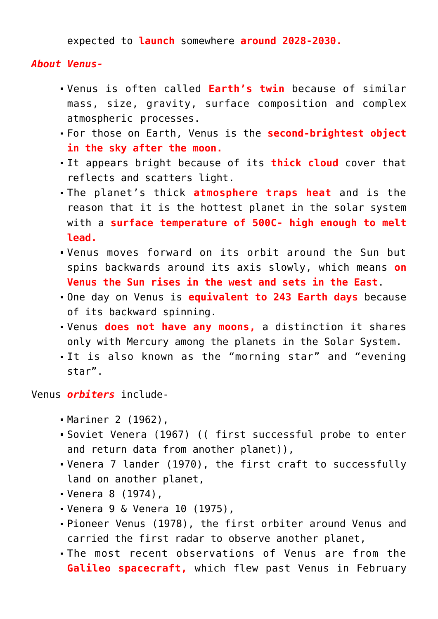expected to **launch** somewhere **around 2028-2030.**

## *About Venus-*

- Venus is often called **Earth's twin** because of similar mass, size, gravity, surface composition and complex atmospheric processes.
- For those on Earth, Venus is the **second-brightest object in the sky after the moon.**
- It appears bright because of its **thick cloud** cover that reflects and scatters light.
- The planet's thick **atmosphere traps heat** and is the reason that it is the hottest planet in the solar system with a **surface temperature of 500C- high enough to melt lead.**
- Venus moves forward on its orbit around the Sun but spins backwards around its axis slowly, which means **on Venus the Sun rises in the west and sets in the East**.
- One day on Venus is **equivalent to 243 Earth days** because of its backward spinning.
- Venus **does not have any moons,** a distinction it shares only with Mercury among the planets in the Solar System.
- It is also known as the "morning star" and "evening star".

Venus *orbiters* include-

- Mariner 2 (1962),
- Soviet Venera (1967) (( first successful probe to enter and return data from another planet)),
- Venera 7 lander (1970), the first craft to successfully land on another planet,
- Venera 8 (1974),
- Venera 9 & Venera 10 (1975),
- Pioneer Venus (1978), the first orbiter around Venus and carried the first radar to observe another planet,
- The most recent observations of Venus are from the **Galileo spacecraft,** which flew past Venus in February